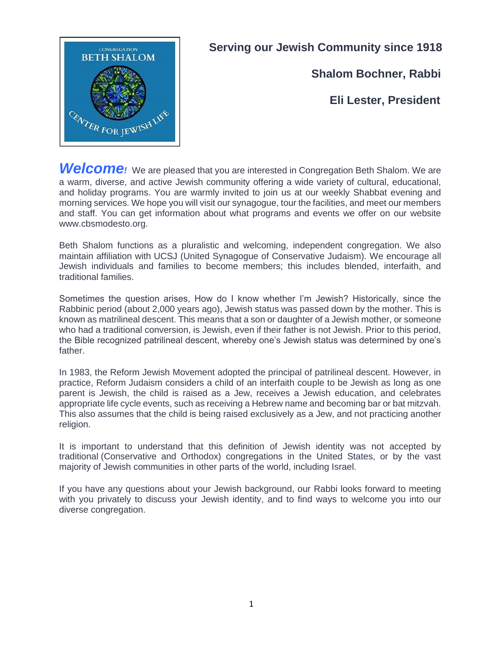

## **Serving our Jewish Community since 1918**

**Shalom Bochner, Rabbi**

## **Eli Lester, President**

**Welcome**<sup>*!*</sup> We are pleased that you are interested in Congregation Beth Shalom. We are a warm, diverse, and active Jewish community offering a wide variety of cultural, educational, and holiday programs. You are warmly invited to join us at our weekly Shabbat evening and morning services. We hope you will visit our synagogue, tour the facilities, and meet our members and staff. You can get information about what programs and events we offer on our website www.cbsmodesto.org.

Beth Shalom functions as a pluralistic and welcoming, independent congregation. We also maintain affiliation with UCSJ (United Synagogue of Conservative Judaism). We encourage all Jewish individuals and families to become members; this includes blended, interfaith, and traditional families.

Sometimes the question arises, How do I know whether I'm Jewish? Historically, since the Rabbinic period (about 2,000 years ago), Jewish status was passed down by the mother. This is known as matrilineal descent. This means that a son or daughter of a Jewish mother, or someone who had a traditional conversion, is Jewish, even if their father is not Jewish. Prior to this period, the Bible recognized patrilineal descent, whereby one's Jewish status was determined by one's father.

In 1983, the Reform Jewish Movement adopted the principal of patrilineal descent. However, in practice, Reform Judaism considers a child of an interfaith couple to be Jewish as long as one parent is Jewish, the child is raised as a Jew, receives a Jewish education, and celebrates appropriate life cycle events, such as receiving a Hebrew name and becoming bar or bat mitzvah. This also assumes that the child is being raised exclusively as a Jew, and not practicing another religion.

It is important to understand that this definition of Jewish identity was not accepted by traditional (Conservative and Orthodox) congregations in the United States, or by the vast majority of Jewish communities in other parts of the world, including Israel.

If you have any questions about your Jewish background, our Rabbi looks forward to meeting with you privately to discuss your Jewish identity, and to find ways to welcome you into our diverse congregation.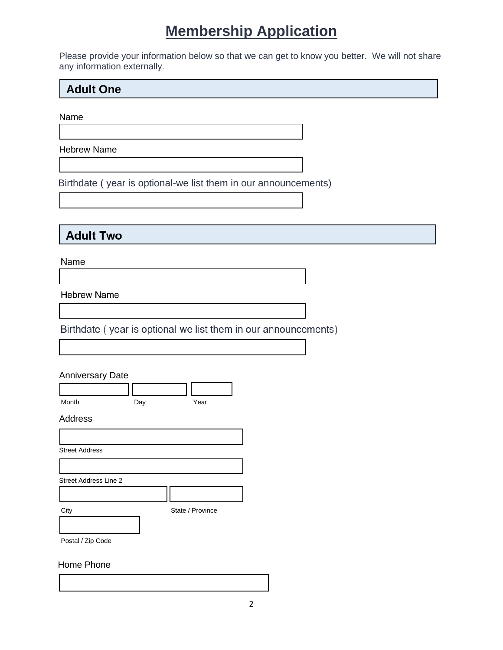# **Membership Application**

Please provide your information below so that we can get to know you better. We will not share any information externally.

### **Adult One**

Name

ſ

 $\mathsf{I}$ 

Hebrew Name

Birthdate ( year is optional-we list them in our announcements)

### **Adult Two**

Name

**Hebrew Name** 

Birthdate (year is optional-we list them in our announcements)

#### Anniversary Date

Month Day Day Year

#### Address

| <b>Street Address</b>        |                  |
|------------------------------|------------------|
|                              |                  |
| <b>Street Address Line 2</b> |                  |
|                              |                  |
| City                         | State / Province |
|                              |                  |
|                              |                  |

Postal / Zip Code

#### Home Phone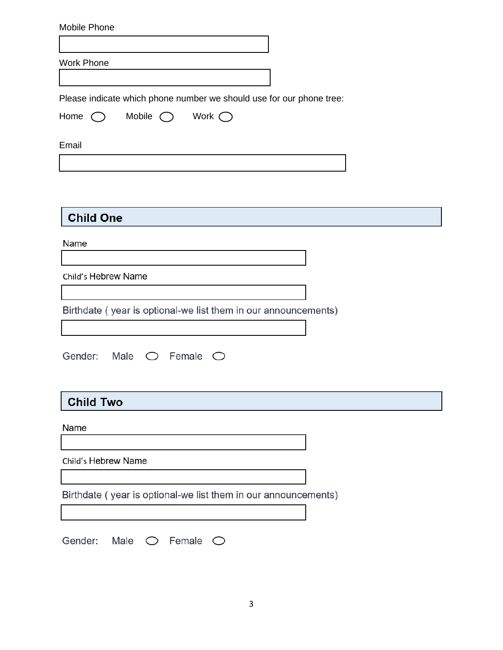| Mobile Phone                                                                     |
|----------------------------------------------------------------------------------|
|                                                                                  |
| <b>Work Phone</b>                                                                |
|                                                                                  |
| Please indicate which phone number we should use for our phone tree:             |
| Home $\bigcirc$<br>Mobile $\bigcirc$<br>Work $\bigcirc$                          |
|                                                                                  |
| Email                                                                            |
|                                                                                  |
|                                                                                  |
|                                                                                  |
| <b>Child One</b>                                                                 |
| Name                                                                             |
|                                                                                  |
| Child's Hebrew Name                                                              |
|                                                                                  |
| Birthdate (year is optional-we list them in our announcements)                   |
|                                                                                  |
|                                                                                  |
| Gender: Male<br>$\bigcirc$ Female<br>$\left(\begin{array}{c} \end{array}\right)$ |
|                                                                                  |
|                                                                                  |
| <b>Child Two</b>                                                                 |
| Name                                                                             |
|                                                                                  |
| Child's Hebrew Name                                                              |
|                                                                                  |
| Birthdate (year is optional-we list them in our announcements)                   |
|                                                                                  |
|                                                                                  |
| Gender: Male $\bigcirc$ Female $\bigcirc$                                        |
|                                                                                  |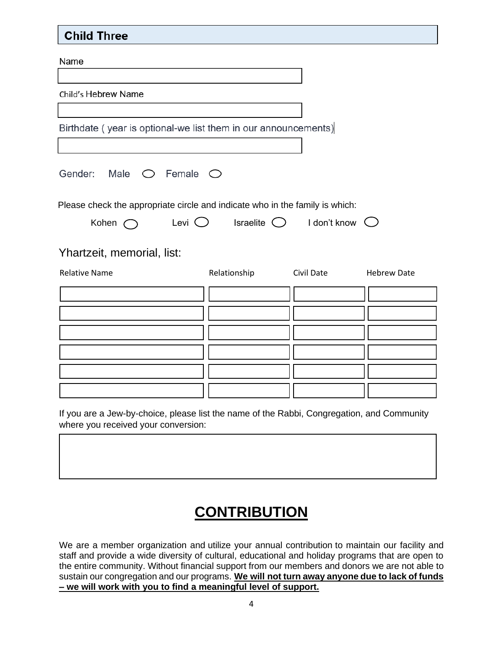### **Child Three**

Name

Child's Hebrew Name

Birthdate (year is optional-we list them in our announcements)

Gender: Male  $\bigcirc$  Female  $\bigcirc$ 

Please check the appropriate circle and indicate who in the family is which:

| Kohen | Levi <sup>(</sup> | Israelite ( | I don't know $\bigcirc$ |  |
|-------|-------------------|-------------|-------------------------|--|
|       |                   |             |                         |  |

Yhartzeit, memorial, list:

| <b>Relative Name</b> | Relationship | Civil Date | <b>Hebrew Date</b> |
|----------------------|--------------|------------|--------------------|
|                      |              |            |                    |
|                      |              |            |                    |
|                      |              |            |                    |
|                      |              |            |                    |
|                      |              |            |                    |
|                      |              |            |                    |

If you are a Jew-by-choice, please list the name of the Rabbi, Congregation, and Community where you received your conversion:

# **CONTRIBUTION**

We are a member organization and utilize your annual contribution to maintain our facility and staff and provide a wide diversity of cultural, educational and holiday programs that are open to the entire community. Without financial support from our members and donors we are not able to sustain our congregation and our programs. **We will not turn away anyone due to lack of funds – we will work with you to find a meaningful level of support.**